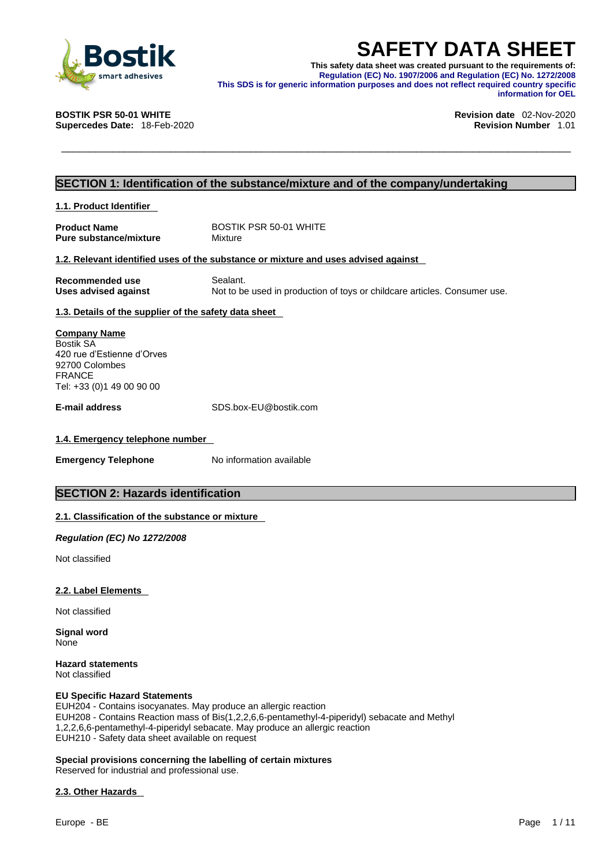

**SAFETY DATA SHEET**<br>
This safety data sheet was created pursuant to the requirements of:<br>
Regulation (EC) No. 1907/2006 and Regulation (EC) No. 1272/2008<br>
This SDS is for generic information purposes and does not reflect r **This safety data sheet was created pursuant to the requirements of: Regulation (EC) No. 1907/2006 and Regulation (EC) No. 1272/2008 This SDS is for generic information purposes and does not reflect required country specific information for OEL** 

**Supercedes Date: 18-Feb-2020** 

**BOSTIK PSR 50-01 WHITE Revision date** 02-Nov-2020

### **SECTION 1: Identification of the substance/mixture and of the company/undertaking**

**1.1. Product Identifier** 

**Product Name** BOSTIK PSR 50-01 WHITE<br> **Pure substance/mixture** Mixture **Pure substance/mixture** 

### **1.2. Relevant identified uses of the substance or mixture and uses advised against**

**Recommended use** Sealant. **Uses advised against** Not to be used in production of toys or childcare articles. Consumer use.

### **1.3. Details of the supplier of the safety data sheet**

**Company Name** Bostik SA 420 rue d'Estienne d'Orves 92700 Colombes FRANCE Tel: +33 (0)1 49 00 90 00

**E-mail address** SDS.box-EU@bostik.com

### **1.4. Emergency telephone number**

**Emergency Telephone** No information available

### **SECTION 2: Hazards identification**

### **2.1. Classification of the substance or mixture**

*Regulation (EC) No 1272/2008* 

Not classified

### **2.2. Label Elements**

Not classified

**Signal word** None

**Hazard statements** Not classified

### **EU Specific Hazard Statements**

EUH204 - Contains isocyanates. May produce an allergic reaction EUH208 - Contains Reaction mass of Bis(1,2,2,6,6-pentamethyl-4-piperidyl) sebacate and Methyl 1,2,2,6,6-pentamethyl-4-piperidyl sebacate. May produce an allergic reaction EUH210 - Safety data sheet available on request

### **Special provisions concerning the labelling of certain mixtures**

Reserved for industrial and professional use.

### **2.3. Other Hazards**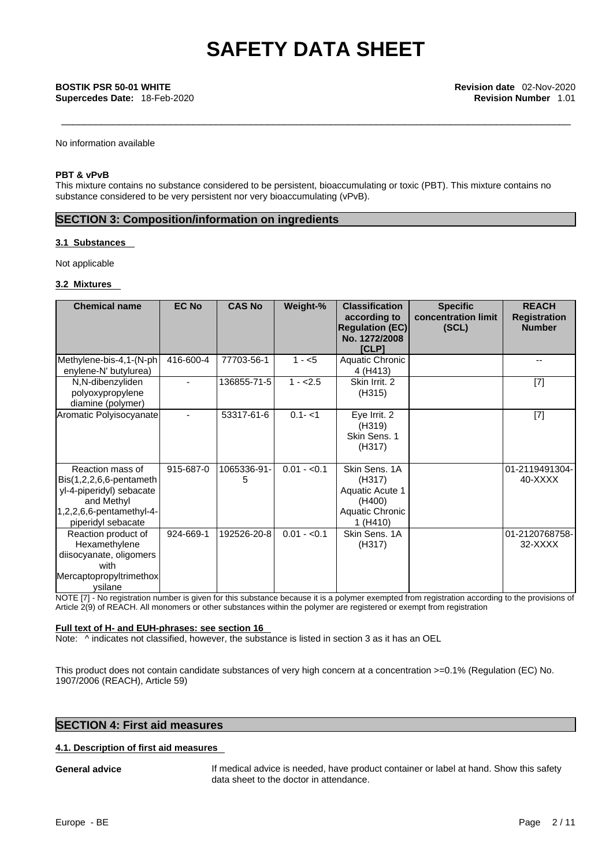**Supercedes Date:** 18-Feb-2020 **Revision Number** 1.01

No information available

### **PBT & vPvB**

This mixture contains no substance considered to be persistent, bioaccumulating or toxic (PBT). This mixture contains no substance considered to be very persistent nor very bioaccumulating (vPvB).

## **SECTION 3: Composition/information on ingredients**

### **3.1 Substances**

Not applicable

### **3.2 Mixtures**

| <b>Chemical name</b>                                                                                                                       | <b>EC No</b> | <b>CAS No</b>    | Weight-%     | <b>Classification</b><br>according to<br><b>Regulation (EC)</b><br>No. 1272/2008<br><b>[CLP]</b> | <b>Specific</b><br>concentration limit<br>(SCL) | <b>REACH</b><br><b>Registration</b><br><b>Number</b> |
|--------------------------------------------------------------------------------------------------------------------------------------------|--------------|------------------|--------------|--------------------------------------------------------------------------------------------------|-------------------------------------------------|------------------------------------------------------|
| Methylene-bis-4,1-(N-ph<br>enylene-N' butylurea)                                                                                           | 416-600-4    | 77703-56-1       | $1 - 5$      | Aquatic Chronic<br>4 (H413)                                                                      |                                                 | $-$                                                  |
| N,N-dibenzyliden<br>polyoxypropylene<br>diamine (polymer)                                                                                  |              | 136855-71-5      | $1 - 2.5$    | Skin Irrit, 2<br>(H315)                                                                          |                                                 | $[7]$                                                |
| Aromatic Polyisocyanate                                                                                                                    |              | 53317-61-6       | $0.1 - 1$    | Eye Irrit. 2<br>(H319)<br>Skin Sens. 1<br>(H317)                                                 |                                                 | $[7]$                                                |
| Reaction mass of<br>$Bis(1,2,2,6,6$ -pentameth<br>yl-4-piperidyl) sebacate<br>and Methyl<br>1,2,2,6,6-pentamethyl-4-<br>piperidyl sebacate | 915-687-0    | 1065336-91-<br>5 | $0.01 - 0.1$ | Skin Sens, 1A<br>(H317)<br>Aquatic Acute 1<br>(H400)<br>Aquatic Chronic<br>1(H410)               |                                                 | 01-2119491304-<br>40-XXXX                            |
| Reaction product of<br>Hexamethylene<br>diisocyanate, oligomers<br>with<br>Mercaptopropyltrimethox<br>ysilane                              | 924-669-1    | 192526-20-8      | $0.01 - 0.1$ | Skin Sens. 1A<br>(H317)                                                                          |                                                 | 01-2120768758-<br>32-XXXX                            |

NOTE [7] - No registration number is given for this substance because it is a polymer exempted from registration according to the provisions of Article 2(9) of REACH. All monomers or other substances within the polymer are registered or exempt from registration

### **Full text of H- and EUH-phrases: see section 16**

Note:  $\wedge$  indicates not classified, however, the substance is listed in section 3 as it has an OEL

This product does not contain candidate substances of very high concern at a concentration >=0.1% (Regulation (EC) No. 1907/2006 (REACH), Article 59)

### **SECTION 4: First aid measures**

### **4.1. Description of first aid measures**

**General advice** If medical advice is needed, have product container or label at hand. Show this safety data sheet to the doctor in attendance.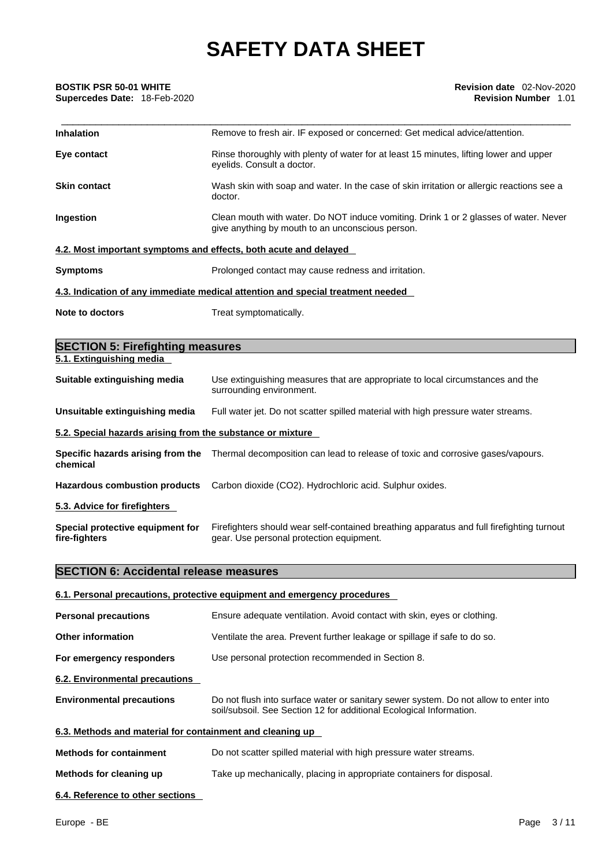## **Supercedes Date:** 18-Feb-2020 **Revision Number** 1.01

| <b>BOSTIK PSR 50-01 WHITE</b><br><b>Supercedes Date: 18-Feb-2020</b> | Revision date 02-Nov-2020<br><b>Revision Number 1.01</b>                                                                                 |
|----------------------------------------------------------------------|------------------------------------------------------------------------------------------------------------------------------------------|
| <b>Inhalation</b>                                                    | Remove to fresh air. IF exposed or concerned: Get medical advice/attention.                                                              |
| Eye contact                                                          | Rinse thoroughly with plenty of water for at least 15 minutes, lifting lower and upper<br>eyelids. Consult a doctor.                     |
| <b>Skin contact</b>                                                  | Wash skin with soap and water. In the case of skin irritation or allergic reactions see a<br>doctor.                                     |
| <b>Ingestion</b>                                                     | Clean mouth with water. Do NOT induce vomiting. Drink 1 or 2 glasses of water. Never<br>give anything by mouth to an unconscious person. |
|                                                                      | 4.2. Most important symptoms and effects, both acute and delayed                                                                         |
| <b>Symptoms</b>                                                      | Prolonged contact may cause redness and irritation.                                                                                      |
|                                                                      | 4.3. Indication of any immediate medical attention and special treatment needed                                                          |
| Note to doctors                                                      | Treat symptomatically.                                                                                                                   |
| <b>SECTION 5: Firefighting measures</b>                              |                                                                                                                                          |

| 5.1. Extinguishing media                                                                  |                                                                                                                                       |  |  |
|-------------------------------------------------------------------------------------------|---------------------------------------------------------------------------------------------------------------------------------------|--|--|
| Suitable extinguishing media                                                              | Use extinguishing measures that are appropriate to local circumstances and the<br>surrounding environment.                            |  |  |
| Unsuitable extinguishing media                                                            | Full water jet. Do not scatter spilled material with high pressure water streams.                                                     |  |  |
| 5.2. Special hazards arising from the substance or mixture                                |                                                                                                                                       |  |  |
| chemical                                                                                  | Specific hazards arising from the Thermal decomposition can lead to release of toxic and corrosive gases/vapours.                     |  |  |
| Carbon dioxide (CO2). Hydrochloric acid. Sulphur oxides.<br>Hazardous combustion products |                                                                                                                                       |  |  |
| 5.3. Advice for firefighters                                                              |                                                                                                                                       |  |  |
| Special protective equipment for<br>fire-fighters                                         | Firefighters should wear self-contained breathing apparatus and full firefighting turnout<br>gear. Use personal protection equipment. |  |  |

## **SECTION 6: Accidental release measures**

|                                                           | 6.1. Personal precautions, protective equipment and emergency procedures                                                                                    |
|-----------------------------------------------------------|-------------------------------------------------------------------------------------------------------------------------------------------------------------|
| <b>Personal precautions</b>                               | Ensure adequate ventilation. Avoid contact with skin, eyes or clothing.                                                                                     |
| <b>Other information</b>                                  | Ventilate the area. Prevent further leakage or spillage if safe to do so.                                                                                   |
| For emergency responders                                  | Use personal protection recommended in Section 8.                                                                                                           |
| 6.2. Environmental precautions                            |                                                                                                                                                             |
| <b>Environmental precautions</b>                          | Do not flush into surface water or sanitary sewer system. Do not allow to enter into<br>soil/subsoil. See Section 12 for additional Ecological Information. |
| 6.3. Methods and material for containment and cleaning up |                                                                                                                                                             |
| <b>Methods for containment</b>                            | Do not scatter spilled material with high pressure water streams.                                                                                           |
| Methods for cleaning up                                   | Take up mechanically, placing in appropriate containers for disposal.                                                                                       |
| 6.4. Reference to other sections                          |                                                                                                                                                             |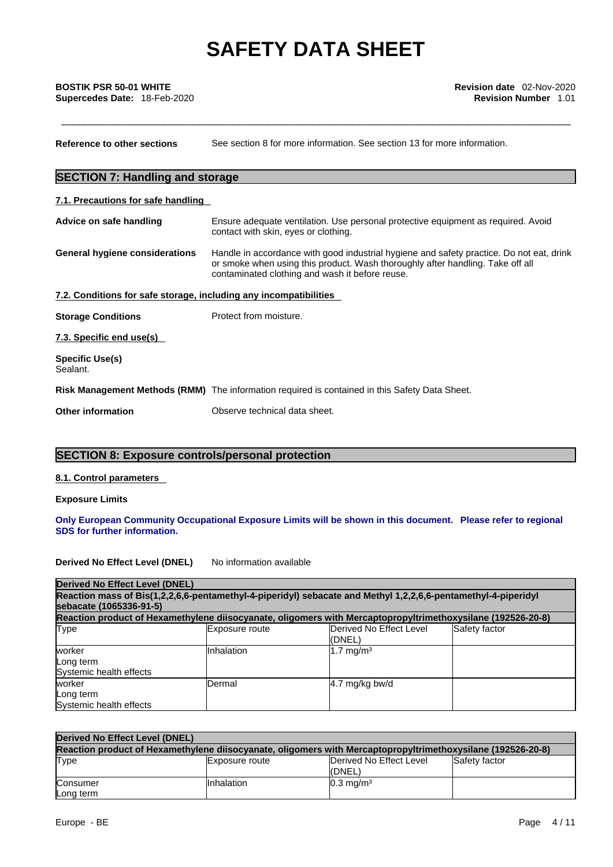| <b>SECTION 7: Handling and storage</b><br>7.1. Precautions for safe handling<br>Ensure adequate ventilation. Use personal protective equipment as required. Avoid<br>Advice on safe handling<br>contact with skin, eyes or clothing.<br>Handle in accordance with good industrial hygiene and safety practice. Do not eat, drink<br>General hygiene considerations<br>or smoke when using this product. Wash thoroughly after handling. Take off all<br>contaminated clothing and wash it before reuse.<br>7.2. Conditions for safe storage, including any incompatibilities<br>Protect from moisture.<br><b>Storage Conditions</b><br>7.3. Specific end use(s)<br><b>Specific Use(s)</b><br>Sealant.<br>Risk Management Methods (RMM) The information required is contained in this Safety Data Sheet.<br><b>Other information</b><br>Observe technical data sheet. | Reference to other sections | See section 8 for more information. See section 13 for more information. |
|----------------------------------------------------------------------------------------------------------------------------------------------------------------------------------------------------------------------------------------------------------------------------------------------------------------------------------------------------------------------------------------------------------------------------------------------------------------------------------------------------------------------------------------------------------------------------------------------------------------------------------------------------------------------------------------------------------------------------------------------------------------------------------------------------------------------------------------------------------------------|-----------------------------|--------------------------------------------------------------------------|
|                                                                                                                                                                                                                                                                                                                                                                                                                                                                                                                                                                                                                                                                                                                                                                                                                                                                      |                             |                                                                          |
|                                                                                                                                                                                                                                                                                                                                                                                                                                                                                                                                                                                                                                                                                                                                                                                                                                                                      |                             |                                                                          |
|                                                                                                                                                                                                                                                                                                                                                                                                                                                                                                                                                                                                                                                                                                                                                                                                                                                                      |                             |                                                                          |
|                                                                                                                                                                                                                                                                                                                                                                                                                                                                                                                                                                                                                                                                                                                                                                                                                                                                      |                             |                                                                          |
|                                                                                                                                                                                                                                                                                                                                                                                                                                                                                                                                                                                                                                                                                                                                                                                                                                                                      |                             |                                                                          |
|                                                                                                                                                                                                                                                                                                                                                                                                                                                                                                                                                                                                                                                                                                                                                                                                                                                                      |                             |                                                                          |
|                                                                                                                                                                                                                                                                                                                                                                                                                                                                                                                                                                                                                                                                                                                                                                                                                                                                      |                             |                                                                          |
|                                                                                                                                                                                                                                                                                                                                                                                                                                                                                                                                                                                                                                                                                                                                                                                                                                                                      |                             |                                                                          |
|                                                                                                                                                                                                                                                                                                                                                                                                                                                                                                                                                                                                                                                                                                                                                                                                                                                                      |                             |                                                                          |
|                                                                                                                                                                                                                                                                                                                                                                                                                                                                                                                                                                                                                                                                                                                                                                                                                                                                      |                             |                                                                          |

## **SECTION 8: Exposure controls/personal protection**

## **8.1. Control parameters**

**Exposure Limits**

### **Only European Community Occupational Exposure Limits will be shown in this document. Please refer to regional SDS for further information.**

**Derived No Effect Level (DNEL)** No information available

| Derived No Effect Level (DNEL)                 |                |                                                                                                               |               |
|------------------------------------------------|----------------|---------------------------------------------------------------------------------------------------------------|---------------|
| sebacate (1065336-91-5)                        |                | Reaction mass of Bis(1,2,2,6,6-pentamethyl-4-piperidyl) sebacate and Methyl 1,2,2,6,6-pentamethyl-4-piperidyl |               |
|                                                |                | Reaction product of Hexamethylene diisocyanate, oligomers with Mercaptopropyltrimethoxysilane (192526-20-8)   |               |
| Type                                           | Exposure route | Derived No Effect Level<br>l(DNEL)                                                                            | Safety factor |
| worker<br>Long term<br>Systemic health effects | Inhalation     | $1.7 \text{ mg/m}^3$                                                                                          |               |
| worker<br>Long term<br>Systemic health effects | Dermal         | $4.7 \text{ mg/kg}$ bw/d                                                                                      |               |

| Derived No Effect Level (DNEL)                                                                              |                |                                    |                      |  |
|-------------------------------------------------------------------------------------------------------------|----------------|------------------------------------|----------------------|--|
| Reaction product of Hexamethylene diisocyanate, oligomers with Mercaptopropyltrimethoxysilane (192526-20-8) |                |                                    |                      |  |
| Type                                                                                                        | Exposure route | Derived No Effect Level<br>l(DNEL) | <b>Safety factor</b> |  |
| Consumer<br>Long term                                                                                       | Inhalation     | $10.3$ mg/m <sup>3</sup>           |                      |  |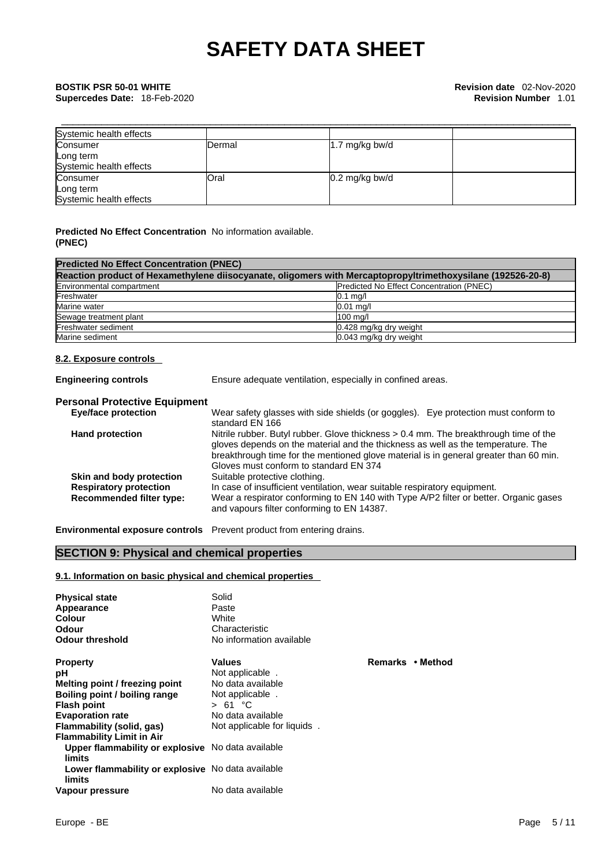| Systemic health effects |        |                          |  |
|-------------------------|--------|--------------------------|--|
| Consumer                | Dermal | 1.7 mg/kg bw/d           |  |
| Long term               |        |                          |  |
| Systemic health effects |        |                          |  |
| Consumer                | Oral   | $0.2 \text{ mg/kg}$ bw/d |  |
| Long term               |        |                          |  |
| Systemic health effects |        |                          |  |

### **Predicted No Effect Concentration** No information available. **(PNEC)**

| <b>Predicted No Effect Concentration (PNEC)</b>                                                             |                                          |  |  |  |
|-------------------------------------------------------------------------------------------------------------|------------------------------------------|--|--|--|
| Reaction product of Hexamethylene diisocyanate, oligomers with Mercaptopropyltrimethoxysilane (192526-20-8) |                                          |  |  |  |
| Environmental compartment                                                                                   | Predicted No Effect Concentration (PNEC) |  |  |  |
| Freshwater                                                                                                  | $0.1$ mg/l                               |  |  |  |
| Marine water                                                                                                | $0.01$ mg/                               |  |  |  |
| Sewage treatment plant                                                                                      | 100 mg/l                                 |  |  |  |
| Freshwater sediment                                                                                         | 0.428 mg/kg dry weight                   |  |  |  |
| Marine sediment                                                                                             | 0.043 mg/kg dry weight                   |  |  |  |

### **8.2. Exposure controls**

**Engineering controls** Ensure adequate ventilation, especially in confined areas.

### **Personal Protective Equipment**

| <b>Eye/face protection</b>      | Wear safety glasses with side shields (or goggles). Eye protection must conform to    |
|---------------------------------|---------------------------------------------------------------------------------------|
|                                 | standard EN 166                                                                       |
| <b>Hand protection</b>          | Nitrile rubber. Butyl rubber. Glove thickness > 0.4 mm. The breakthrough time of the  |
|                                 | gloves depends on the material and the thickness as well as the temperature. The      |
|                                 | breakthrough time for the mentioned glove material is in general greater than 60 min. |
|                                 | Gloves must conform to standard EN 374                                                |
| Skin and body protection        | Suitable protective clothing.                                                         |
| <b>Respiratory protection</b>   | In case of insufficient ventilation, wear suitable respiratory equipment.             |
| <b>Recommended filter type:</b> | Wear a respirator conforming to EN 140 with Type A/P2 filter or better. Organic gases |
|                                 | and vapours filter conforming to EN 14387.                                            |

**Environmental exposure controls** Prevent product from entering drains.

### **SECTION 9: Physical and chemical properties**

### **9.1. Information on basic physical and chemical properties**

| <b>Physical state</b><br>Appearance<br><b>Colour</b><br>Odour<br><b>Odour threshold</b> | Solid<br>Paste<br>White<br>Characteristic<br>No information available |                            |
|-----------------------------------------------------------------------------------------|-----------------------------------------------------------------------|----------------------------|
| <b>Property</b>                                                                         | <b>Values</b>                                                         | <b>Remarks</b><br>∙ Method |
| рH                                                                                      | Not applicable.                                                       |                            |
| Melting point / freezing point                                                          | No data available                                                     |                            |
| Boiling point / boiling range                                                           | Not applicable.                                                       |                            |
| <b>Flash point</b>                                                                      | > 61 °C                                                               |                            |
| <b>Evaporation rate</b>                                                                 | No data available                                                     |                            |
| Flammability (solid, gas)                                                               | Not applicable for liquids                                            |                            |
| <b>Flammability Limit in Air</b>                                                        |                                                                       |                            |
| Upper flammability or explosive No data available                                       |                                                                       |                            |
| limits                                                                                  |                                                                       |                            |
| Lower flammability or explosive No data available<br>limits                             |                                                                       |                            |
| Vapour pressure                                                                         | No data available                                                     |                            |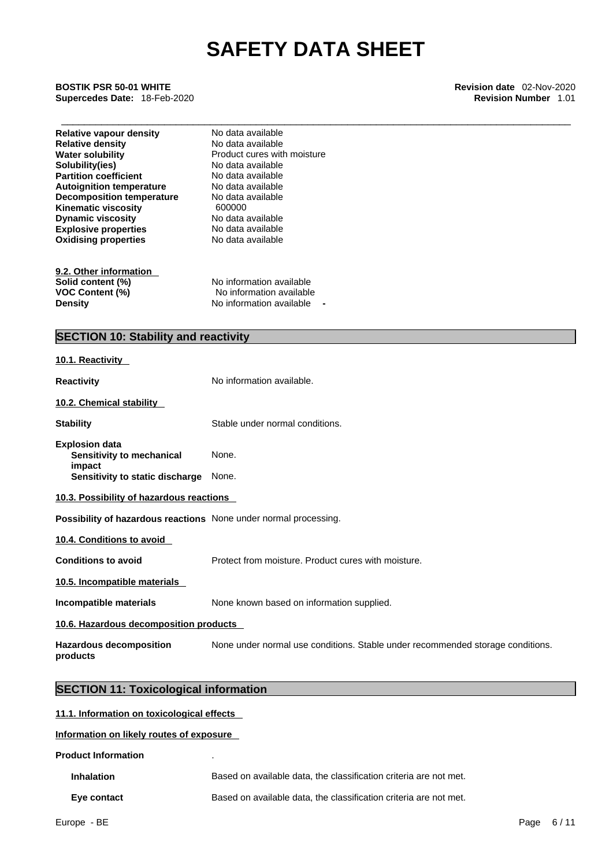\_\_\_\_\_\_\_\_\_\_\_\_\_\_\_\_\_\_\_\_\_\_\_\_\_\_\_\_\_\_\_\_\_\_\_\_\_\_\_\_\_\_\_\_\_\_\_\_\_\_\_\_\_\_\_\_\_\_\_\_\_\_\_\_\_\_\_\_\_\_\_\_\_\_\_\_\_\_\_\_\_\_\_\_\_\_\_\_\_ **BOSTIK PSR 50-01 WHITE Revision date** 02-Nov-2020 **Supercedes Date:** 18-Feb-2020 **Revision Number** 1.01

| <b>Relative vapour density</b><br><b>Relative density</b><br><b>Water solubility</b><br>Solubility(ies)<br><b>Partition coefficient</b><br><b>Autoignition temperature</b><br><b>Decomposition temperature</b><br><b>Kinematic viscosity</b><br><b>Dynamic viscosity</b><br><b>Explosive properties</b><br><b>Oxidising properties</b> | No data available<br>No data available<br>Product cures with moisture<br>No data available<br>No data available<br>No data available<br>No data available<br>600000<br>No data available<br>No data available<br>No data available |  |  |  |
|----------------------------------------------------------------------------------------------------------------------------------------------------------------------------------------------------------------------------------------------------------------------------------------------------------------------------------------|------------------------------------------------------------------------------------------------------------------------------------------------------------------------------------------------------------------------------------|--|--|--|
| 9.2. Other information                                                                                                                                                                                                                                                                                                                 |                                                                                                                                                                                                                                    |  |  |  |
| Solid content (%)<br><b>VOC Content (%)</b>                                                                                                                                                                                                                                                                                            | No information available<br>No information available                                                                                                                                                                               |  |  |  |
| <b>Density</b>                                                                                                                                                                                                                                                                                                                         | No information available                                                                                                                                                                                                           |  |  |  |
|                                                                                                                                                                                                                                                                                                                                        |                                                                                                                                                                                                                                    |  |  |  |
| <b>SECTION 10: Stability and reactivity</b>                                                                                                                                                                                                                                                                                            |                                                                                                                                                                                                                                    |  |  |  |
| 10.1. Reactivity                                                                                                                                                                                                                                                                                                                       |                                                                                                                                                                                                                                    |  |  |  |
| <b>Reactivity</b>                                                                                                                                                                                                                                                                                                                      | No information available.                                                                                                                                                                                                          |  |  |  |
| 10.2. Chemical stability                                                                                                                                                                                                                                                                                                               |                                                                                                                                                                                                                                    |  |  |  |
| <b>Stability</b>                                                                                                                                                                                                                                                                                                                       | Stable under normal conditions.                                                                                                                                                                                                    |  |  |  |
| <b>Explosion data</b><br>Sensitivity to mechanical                                                                                                                                                                                                                                                                                     | None.                                                                                                                                                                                                                              |  |  |  |
| impact<br>Sensitivity to static discharge                                                                                                                                                                                                                                                                                              | None.                                                                                                                                                                                                                              |  |  |  |
| 10.3. Possibility of hazardous reactions                                                                                                                                                                                                                                                                                               |                                                                                                                                                                                                                                    |  |  |  |
| Possibility of hazardous reactions None under normal processing.                                                                                                                                                                                                                                                                       |                                                                                                                                                                                                                                    |  |  |  |
| 10.4. Conditions to avoid                                                                                                                                                                                                                                                                                                              |                                                                                                                                                                                                                                    |  |  |  |
| <b>Conditions to avoid</b>                                                                                                                                                                                                                                                                                                             | Protect from moisture. Product cures with moisture.                                                                                                                                                                                |  |  |  |
| 10.5. Incompatible materials                                                                                                                                                                                                                                                                                                           |                                                                                                                                                                                                                                    |  |  |  |
| Incompatible materials                                                                                                                                                                                                                                                                                                                 | None known based on information supplied.                                                                                                                                                                                          |  |  |  |
| 10.6. Hazardous decomposition products                                                                                                                                                                                                                                                                                                 |                                                                                                                                                                                                                                    |  |  |  |
| <b>Hazardous decomposition</b><br>products                                                                                                                                                                                                                                                                                             | None under normal use conditions. Stable under recommended storage conditions.                                                                                                                                                     |  |  |  |

## **SECTION 11: Toxicological information**

### **11.1. Information on toxicological effects**

**Information on likely routes of exposure**

**Product Information** .

| <b>Inhalation</b> | Based on available data, the classification criteria are not met. |
|-------------------|-------------------------------------------------------------------|
| Eye contact       | Based on available data, the classification criteria are not met. |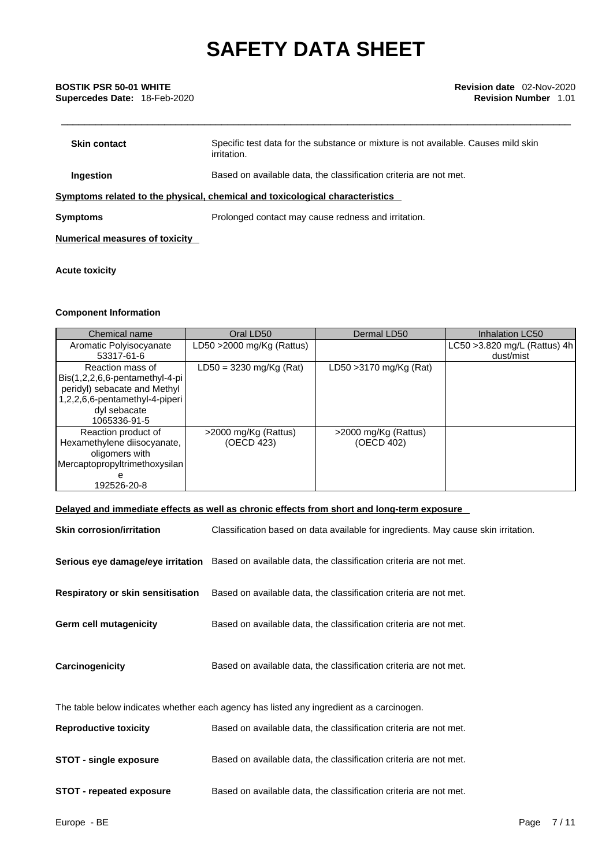| <b>Skin contact</b> | Specific test data for the substance or mixture is not available. Causes mild skin<br>irritation. |
|---------------------|---------------------------------------------------------------------------------------------------|
| Ingestion           | Based on available data, the classification criteria are not met.                                 |
|                     | Symptoms related to the physical, chemical and toxicological characteristics                      |
| <b>Symptoms</b>     | Prolonged contact may cause redness and irritation.                                               |
|                     |                                                                                                   |

**Numerical measures of toxicity**

### **Acute toxicity**

### **Component Information**

| Chemical name                                                                                                                                        | Oral LD50                          | Dermal LD50                        | Inhalation LC50                            |
|------------------------------------------------------------------------------------------------------------------------------------------------------|------------------------------------|------------------------------------|--------------------------------------------|
| Aromatic Polyisocyanate<br>53317-61-6                                                                                                                | LD50 $>$ 2000 mg/Kg (Rattus)       |                                    | LC50 > 3.820 mg/L (Rattus) 4h<br>dust/mist |
| Reaction mass of<br>Bis(1,2,2,6,6-pentamethyl-4-pi<br>peridyl) sebacate and Methyl<br>1,2,2,6,6-pentamethyl-4-piperi<br>dyl sebacate<br>1065336-91-5 | $LD50 = 3230$ mg/Kg (Rat)          | LD50 > 3170 mg/Kg (Rat)            |                                            |
| Reaction product of<br>Hexamethylene diisocyanate,<br>oligomers with<br>Mercaptopropyltrimethoxysilan<br>192526-20-8                                 | >2000 mg/Kg (Rattus)<br>(OECD 423) | >2000 mg/Kg (Rattus)<br>(OECD 402) |                                            |

### **Delayed and immediate effects as well as chronic effects from short and long-term exposure**

| <b>Skin corrosion/irritation</b>         | Classification based on data available for ingredients. May cause skin irritation.                         |
|------------------------------------------|------------------------------------------------------------------------------------------------------------|
|                                          | <b>Serious eye damage/eye irritation</b> Based on available data, the classification criteria are not met. |
| <b>Respiratory or skin sensitisation</b> | Based on available data, the classification criteria are not met.                                          |
| <b>Germ cell mutagenicity</b>            | Based on available data, the classification criteria are not met.                                          |
| Carcinogenicity                          | Based on available data, the classification criteria are not met.                                          |
|                                          | The table below indicates whether each agency has listed any ingredient as a carcinogen.                   |
| <b>Reproductive toxicity</b>             | Based on available data, the classification criteria are not met.                                          |
| <b>STOT - single exposure</b>            | Based on available data, the classification criteria are not met.                                          |
| <b>STOT - repeated exposure</b>          | Based on available data, the classification criteria are not met.                                          |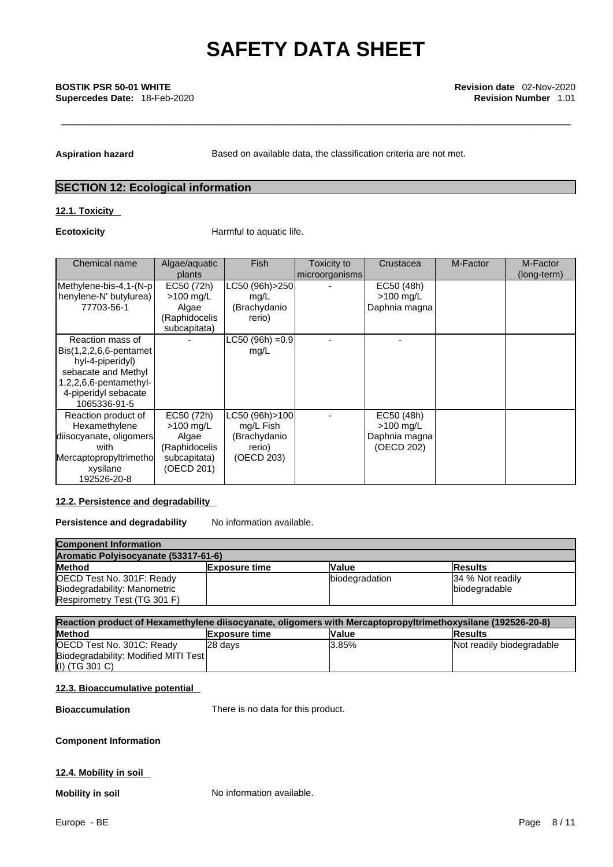Aspiration hazard **Based on available data, the classification criteria are not met.** 

## **SECTION 12: Ecological information**

### **12.1. Toxicity**

**Ecotoxicity Example 20** Harmful to aquatic life.

| Chemical name                                                                                                                                                              | Algae/aquatic<br>plants                                                           | <b>Fish</b>                                                           | Toxicity to<br>microorganisms | Crustacea                                                | M-Factor | M-Factor<br>(long-term) |
|----------------------------------------------------------------------------------------------------------------------------------------------------------------------------|-----------------------------------------------------------------------------------|-----------------------------------------------------------------------|-------------------------------|----------------------------------------------------------|----------|-------------------------|
| Methylene-bis-4,1-(N-p<br>henylene-N' butylurea)<br>77703-56-1                                                                                                             | EC50 (72h)<br>$>100$ mg/L<br>Algae<br>(Raphidocelis<br>subcapitata)               | LC50 (96h)>250<br>mg/L<br>(Brachydanio<br>rerio)                      |                               | EC50 (48h)<br>$>100$ mg/L<br>Daphnia magna               |          |                         |
| Reaction mass of<br>$\textsf{Bis}(1,2,2,6,6\text{-}pentamet)$<br>hyl-4-piperidyl)<br>sebacate and Methyl<br>1,2,2,6,6-pentamethyl-<br>4-piperidyl sebacate<br>1065336-91-5 |                                                                                   | $LC50 (96h) = 0.9$<br>mg/L                                            |                               |                                                          |          |                         |
| Reaction product of<br>Hexamethylene<br>diisocyanate, oligomers<br>with<br>Mercaptopropyltrimethol<br>xysilane<br>192526-20-8                                              | EC50 (72h)<br>$>100$ mg/L<br>Algae<br>(Raphidocelis<br>subcapitata)<br>(OECD 201) | LC50 (96h) > 100<br>mg/L Fish<br>(Brachydanio<br>rerio)<br>(OECD 203) |                               | EC50 (48h)<br>$>100$ mg/L<br>Daphnia magna<br>(OECD 202) |          |                         |

### **12.2. Persistence and degradability**

**Persistence and degradability** No information available.

| <b>Component Information</b>         |                      |                |                  |  |  |
|--------------------------------------|----------------------|----------------|------------------|--|--|
| Aromatic Polyisocyanate (53317-61-6) |                      |                |                  |  |  |
| <b>Method</b>                        | <b>Exposure time</b> | <b>Value</b>   | <b>IResults</b>  |  |  |
| OECD Test No. 301F: Ready            |                      | biodegradation | 34 % Not readily |  |  |
| Biodegradability: Manometric         |                      |                | biodegradable    |  |  |
| Respirometry Test (TG 301 F)         |                      |                |                  |  |  |

| Reaction product of Hexamethylene diisocyanate, oligomers with Mercaptopropyltrimethoxysilane (192526-20-8) |                                                         |       |                           |  |  |  |
|-------------------------------------------------------------------------------------------------------------|---------------------------------------------------------|-------|---------------------------|--|--|--|
| <b>Method</b>                                                                                               | <b>Value</b><br><b>Exposure time</b><br><b>IResults</b> |       |                           |  |  |  |
| OECD Test No. 301C: Ready                                                                                   | 28 davs                                                 | 3.85% | Not readily biodegradable |  |  |  |
| Biodegradability: Modified MITI Test                                                                        |                                                         |       |                           |  |  |  |
| (I) (TG 301 C)                                                                                              |                                                         |       |                           |  |  |  |

### **12.3. Bioaccumulative potential**

**Bioaccumulation** There is no data for this product.

### **Component Information**

### **12.4. Mobility in soil**

**Mobility in soil** No information available.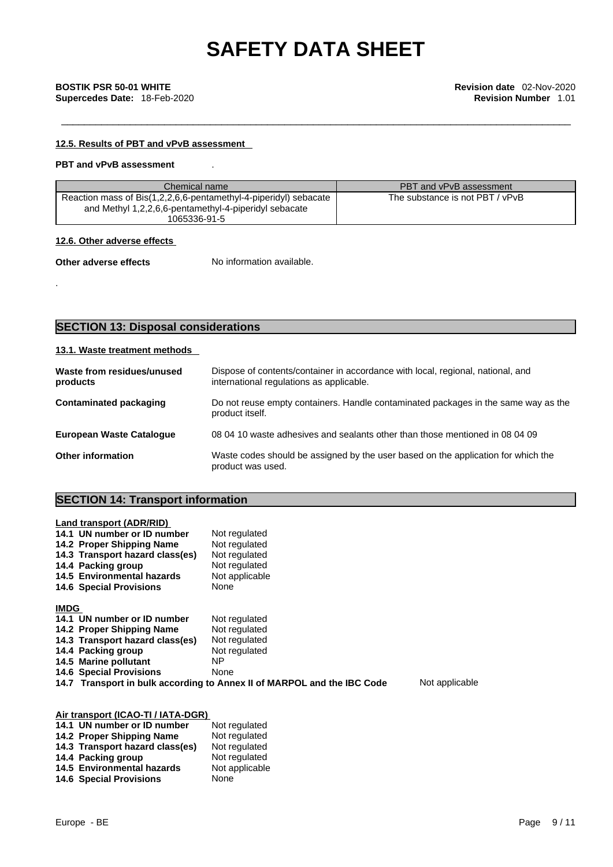### **12.5. Results of PBT and vPvB assessment**

### **PBT and vPvB assessment** .

| Chemical name                                                                                                                             | PBT and vPvB assessment         |
|-------------------------------------------------------------------------------------------------------------------------------------------|---------------------------------|
| Reaction mass of Bis(1,2,2,6,6-pentamethyl-4-piperidyl) sebacate<br>and Methyl 1,2,2,6,6-pentamethyl-4-piperidyl sebacate<br>1065336-91-5 | The substance is not PBT / vPvB |

### **12.6. Other adverse effects**

.

**Other adverse effects** No information available.

## **SECTION 13: Disposal considerations**

### **13.1. Waste treatment methods**

| Waste from residues/unused<br>products | Dispose of contents/container in accordance with local, regional, national, and<br>international regulations as applicable. |
|----------------------------------------|-----------------------------------------------------------------------------------------------------------------------------|
| Contaminated packaging                 | Do not reuse empty containers. Handle contaminated packages in the same way as the<br>product itself.                       |
| <b>European Waste Catalogue</b>        | 08 04 10 waste adhesives and sealants other than those mentioned in 08 04 09                                                |
| <b>Other information</b>               | Waste codes should be assigned by the user based on the application for which the<br>product was used.                      |

## **SECTION 14: Transport information**

| Land transport (ADR/RID)           |                                                                         |                |
|------------------------------------|-------------------------------------------------------------------------|----------------|
| 14.1 UN number or ID number        | Not regulated                                                           |                |
| 14.2 Proper Shipping Name          | Not regulated                                                           |                |
| 14.3 Transport hazard class(es)    | Not regulated                                                           |                |
| 14.4 Packing group                 | Not regulated                                                           |                |
| 14.5 Environmental hazards         | Not applicable                                                          |                |
| <b>14.6 Special Provisions</b>     | None                                                                    |                |
| <b>IMDG</b>                        |                                                                         |                |
| 14.1 UN number or ID number        | Not regulated                                                           |                |
| 14.2 Proper Shipping Name          | Not regulated                                                           |                |
| 14.3 Transport hazard class(es)    | Not regulated                                                           |                |
| 14.4 Packing group                 | Not regulated                                                           |                |
| 14.5 Marine pollutant              | NP.                                                                     |                |
| <b>14.6 Special Provisions</b>     | None                                                                    |                |
|                                    | 14.7 Transport in bulk according to Annex II of MARPOL and the IBC Code | Not applicable |
|                                    |                                                                         |                |
| Air transport (ICAO-TI / IATA-DGR) |                                                                         |                |
| 14.1 UN number or ID number        | Not regulated                                                           |                |

| 14.1 UN number or ID number     | Not regulated  |
|---------------------------------|----------------|
| 14.2 Proper Shipping Name       | Not regulated  |
| 14.3 Transport hazard class(es) | Not regulated  |
| 14.4 Packing group              | Not regulated  |
| 14.5 Environmental hazards      | Not applicable |
| <b>14.6 Special Provisions</b>  | None           |
|                                 |                |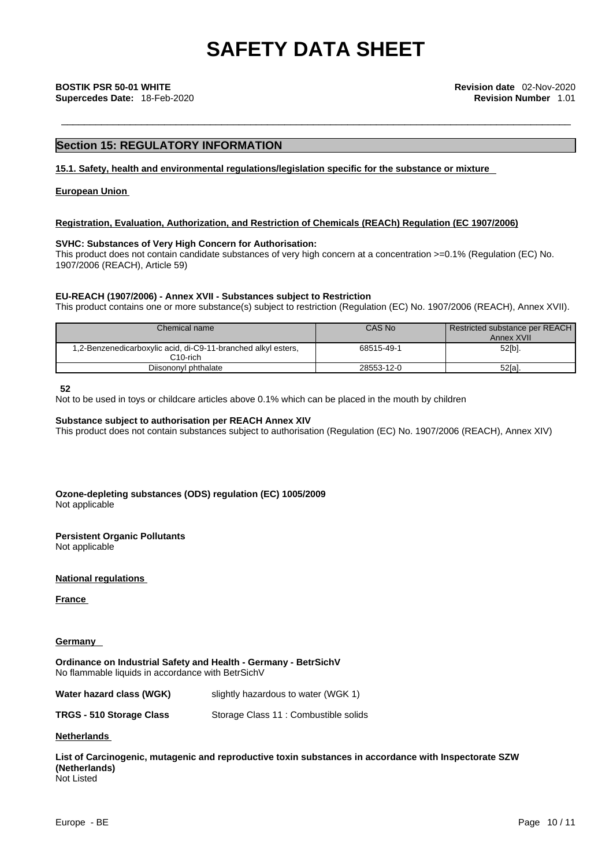### **Section 15: REGULATORY INFORMATION**

### **15.1. Safety, health and environmental regulations/legislation specific for the substance or mixture**

### **European Union**

### **Registration, Evaluation, Authorization, and Restriction of Chemicals (REACh) Regulation (EC 1907/2006)**

### **SVHC: Substances of Very High Concern for Authorisation:**

This product does not contain candidate substances of very high concern at a concentration >=0.1% (Regulation (EC) No. 1907/2006 (REACH), Article 59)

### **EU-REACH (1907/2006) - Annex XVII - Substances subject to Restriction**

This product contains one or more substance(s) subject to restriction (Regulation (EC) No. 1907/2006 (REACH), Annex XVII).

| Chemical name                                                             | CAS No     | <b>Restricted substance per REACH I</b><br>Annex XVII |
|---------------------------------------------------------------------------|------------|-------------------------------------------------------|
| 1,2-Benzenedicarboxylic acid, di-C9-11-branched alkyl esters,<br>C10-rich | 68515-49-1 | $52[b]$ .                                             |
| Diisononyl phthalate                                                      | 28553-12-0 | 52[a].                                                |

**52**

Not to be used in toys or childcare articles above 0.1% which can be placed in the mouth by children

### **Substance subject to authorisation per REACH Annex XIV**

This product does not contain substances subject to authorisation (Regulation (EC) No. 1907/2006 (REACH), Annex XIV)

**Ozone-depleting substances (ODS) regulation (EC) 1005/2009** Not applicable

### **Persistent Organic Pollutants**

Not applicable

**National regulations**

**France** 

### **Germany**

**Ordinance on Industrial Safety and Health - Germany - BetrSichV** No flammable liquids in accordance with BetrSichV

| Water hazard class (WGK) | slightly hazardous to water (WGK 1)   |
|--------------------------|---------------------------------------|
| TRGS - 510 Storage Class | Storage Class 11 : Combustible solids |

### **Netherlands**

**List of Carcinogenic, mutagenic and reproductive toxin substances in accordance with Inspectorate SZW (Netherlands)** Not Listed